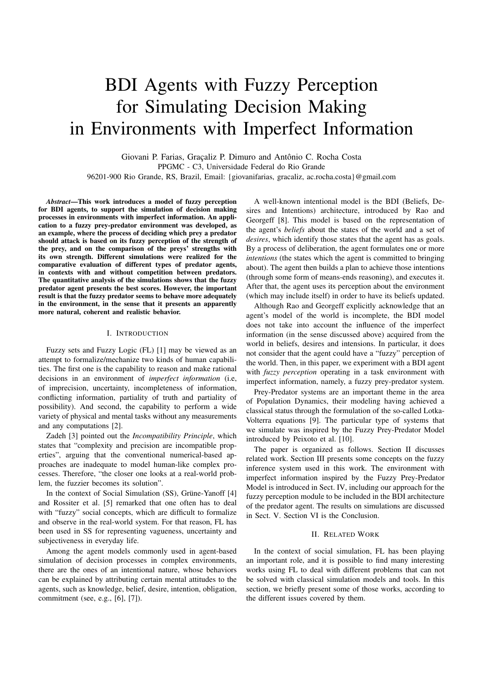# BDI Agents with Fuzzy Perception for Simulating Decision Making in Environments with Imperfect Information

Giovani P. Farias, Graçaliz P. Dimuro and Antônio C. Rocha Costa PPGMC - C3, Universidade Federal do Rio Grande 96201-900 Rio Grande, RS, Brazil, Email: {giovanifarias, gracaliz, ac.rocha.costa}@gmail.com

*Abstract*—This work introduces a model of fuzzy perception for BDI agents, to support the simulation of decision making processes in environments with imperfect information. An application to a fuzzy prey-predator environment was developed, as an example, where the process of deciding which prey a predator should attack is based on its fuzzy perception of the strength of the prey, and on the comparison of the preys' strengths with its own strength. Different simulations were realized for the comparative evaluation of different types of predator agents, in contexts with and without competition between predators. The quantitative analysis of the simulations shows that the fuzzy predator agent presents the best scores. However, the important result is that the fuzzy predator seems to behave more adequately in the environment, in the sense that it presents an apparently more natural, coherent and realistic behavior.

## I. INTRODUCTION

Fuzzy sets and Fuzzy Logic (FL) [1] may be viewed as an attempt to formalize/mechanize two kinds of human capabilities. The first one is the capability to reason and make rational decisions in an environment of *imperfect information* (i.e, of imprecision, uncertainty, incompleteness of information, conflicting information, partiality of truth and partiality of possibility). And second, the capability to perform a wide variety of physical and mental tasks without any measurements and any computations [2].

Zadeh [3] pointed out the *Incompatibility Principle*, which states that "complexity and precision are incompatible properties", arguing that the conventional numerical-based approaches are inadequate to model human-like complex processes. Therefore, "the closer one looks at a real-world problem, the fuzzier becomes its solution".

In the context of Social Simulation (SS), Grüne-Yanoff [4] and Rossiter et al. [5] remarked that one often has to deal with "fuzzy" social concepts, which are difficult to formalize and observe in the real-world system. For that reason, FL has been used in SS for representing vagueness, uncertainty and subjectiveness in everyday life.

Among the agent models commonly used in agent-based simulation of decision processes in complex environments, there are the ones of an intentional nature, whose behaviors can be explained by attributing certain mental attitudes to the agents, such as knowledge, belief, desire, intention, obligation, commitment (see, e.g., [6], [7]).

A well-known intentional model is the BDI (Beliefs, Desires and Intentions) architecture, introduced by Rao and Georgeff [8]. This model is based on the representation of the agent's *beliefs* about the states of the world and a set of *desires*, which identify those states that the agent has as goals. By a process of deliberation, the agent formulates one or more *intentions* (the states which the agent is committed to bringing about). The agent then builds a plan to achieve those intentions (through some form of means-ends reasoning), and executes it. After that, the agent uses its perception about the environment (which may include itself) in order to have its beliefs updated.

Although Rao and Georgeff explicitly acknowledge that an agent's model of the world is incomplete, the BDI model does not take into account the influence of the imperfect information (in the sense discussed above) acquired from the world in beliefs, desires and intensions. In particular, it does not consider that the agent could have a "fuzzy" perception of the world. Then, in this paper, we experiment with a BDI agent with *fuzzy perception* operating in a task environment with imperfect information, namely, a fuzzy prey-predator system.

Prey-Predator systems are an important theme in the area of Population Dynamics, their modeling having achieved a classical status through the formulation of the so-called Lotka-Volterra equations [9]. The particular type of systems that we simulate was inspired by the Fuzzy Prey-Predator Model introduced by Peixoto et al. [10].

The paper is organized as follows. Section II discusses related work. Section III presents some concepts on the fuzzy inference system used in this work. The environment with imperfect information inspired by the Fuzzy Prey-Predator Model is introduced in Sect. IV, including our approach for the fuzzy perception module to be included in the BDI architecture of the predator agent. The results on simulations are discussed in Sect. V. Section VI is the Conclusion.

#### II. RELATED WORK

In the context of social simulation, FL has been playing an important role, and it is possible to find many interesting works using FL to deal with different problems that can not be solved with classical simulation models and tools. In this section, we briefly present some of those works, according to the different issues covered by them.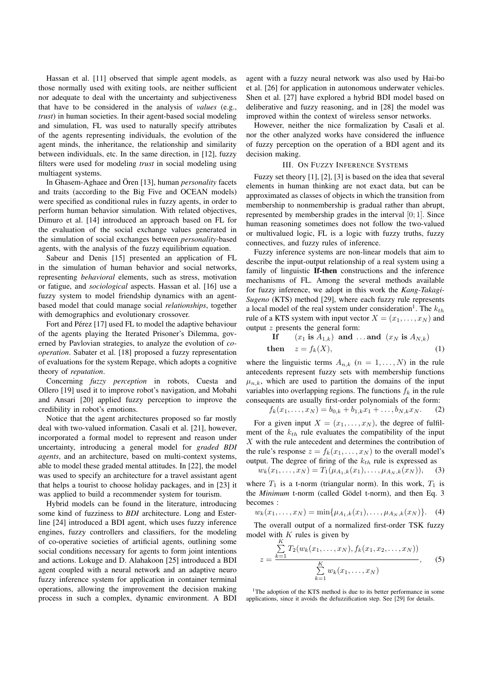Hassan et al. [11] observed that simple agent models, as those normally used with exiting tools, are neither sufficient nor adequate to deal with the uncertainty and subjectiveness that have to be considered in the analysis of *values* (e.g., *trust*) in human societies. In their agent-based social modeling and simulation, FL was used to naturally specify attributes of the agents representing individuals, the evolution of the agent minds, the inheritance, the relationship and similarity between individuals, etc. In the same direction, in [12], fuzzy filters were used for modeling *trust* in social modeling using multiagent systems.

In Ghasem-Aghaee and Ören [13], human *personality* facets and traits (according to the Big Five and OCEAN models) were specified as conditional rules in fuzzy agents, in order to perform human behavior simulation. With related objectives, Dimuro et al. [14] introduced an approach based on FL for the evaluation of the social exchange values generated in the simulation of social exchanges between *personality*-based agents, with the analysis of the fuzzy equilibrium equation.

Sabeur and Denis [15] presented an application of FL in the simulation of human behavior and social networks, representing *behavioral* elements, such as stress, motivation or fatigue, and *sociological* aspects. Hassan et al. [16] use a fuzzy system to model friendship dynamics with an agentbased model that could manage social *relationships*, together with demographics and evolutionary crossover.

Fort and Pérez [17] used FL to model the adaptive behaviour of the agents playing the Iterated Prisoner's Dilemma, governed by Pavlovian strategies, to analyze the evolution of *cooperation*. Sabater et al. [18] proposed a fuzzy representation of evaluations for the system Repage, which adopts a cognitive theory of *reputation*.

Concerning *fuzzy perception* in robots, Cuesta and Ollero [19] used it to improve robot's navigation, and Mobahi and Ansari [20] applied fuzzy perception to improve the credibility in robot's emotions.

Notice that the agent architectures proposed so far mostly deal with two-valued information. Casali et al. [21], however, incorporated a formal model to represent and reason under uncertainty, introducing a general model for *graded BDI agents*, and an architecture, based on multi-context systems, able to model these graded mental attitudes. In [22], the model was used to specify an architecture for a travel assistant agent that helps a tourist to choose holiday packages, and in [23] it was applied to build a recommender system for tourism.

Hybrid models can be found in the literature, introducing some kind of fuzziness to *BDI* architecture. Long and Esterline [24] introduced a BDI agent, which uses fuzzy inference engines, fuzzy controllers and classifiers, for the modeling of co-operative societies of artificial agents, outlining some social conditions necessary for agents to form joint intentions and actions. Lokuge and D. Alahakoon [25] introduced a BDI agent coupled with a neural network and an adaptive neuro fuzzy inference system for application in container terminal operations, allowing the improvement the decision making process in such a complex, dynamic environment. A BDI agent with a fuzzy neural network was also used by Hai-bo et al. [26] for application in autonomous underwater vehicles. Shen et al. [27] have explored a hybrid BDI model based on deliberative and fuzzy reasoning, and in [28] the model was improved within the context of wireless sensor networks.

However, neither the nice formalization by Casali et al. nor the other analyzed works have considered the influence of fuzzy perception on the operation of a BDI agent and its decision making.

## III. ON FUZZY INFERENCE SYSTEMS

Fuzzy set theory [1], [2], [3] is based on the idea that several elements in human thinking are not exact data, but can be approximated as classes of objects in which the transition from membership to nonmembership is gradual rather than abrupt, represented by membership grades in the interval [0; 1]. Since human reasoning sometimes does not follow the two-valued or multivalued logic, FL is a logic with fuzzy truths, fuzzy connectives, and fuzzy rules of inference.

Fuzzy inference systems are non-linear models that aim to describe the input-output relationship of a real system using a family of linguistic If-then constructions and the inference mechanisms of FL. Among the several methods available for fuzzy inference, we adopt in this work the *Kang-Takagi-Sugeno* (KTS) method [29], where each fuzzy rule represents a local model of the real system under consideration<sup>1</sup>. The  $k_{th}$ rule of a KTS system with input vector  $X = (x_1, \dots, x_N)$  and output z presents the general form:

$$
\begin{aligned}\n\textbf{If} \qquad (x_1 \text{ is } A_{1,k}) \text{ and } \dots \text{ and } \ (x_N \text{ is } A_{N,k}) \\
\textbf{then} \qquad z &= f_k(X),\n\end{aligned}\n\tag{1}
$$

where the linguistic terms  $A_{n,k}$   $(n = 1, \ldots, N)$  in the rule antecedents represent fuzzy sets with membership functions  $\mu_{n,k}$ , which are used to partition the domains of the input variables into overlapping regions. The functions  $f_k$  in the rule consequents are usually first-order polynomials of the form:

$$
f_k(x_1,\ldots,x_N) = b_{0,k} + b_{1,k}x_1 + \ldots, b_{N,k}x_N.
$$
 (2)

For a given input  $X = (x_1, \ldots, x_N)$ , the degree of fulfilment of the  $k_{th}$  rule evaluates the compatibility of the input X with the rule antecedent and determines the contribution of the rule's response  $z = f_k(x_1, \ldots, x_N)$  to the overall model's output. The degree of firing of the  $k_{th}$  rule is expressed as

$$
w_k(x_1, \ldots, x_N) = T_1(\mu_{A_1,k}(x_1), \ldots, \mu_{A_N,k}(x_N)), \quad (3)
$$

where  $T_1$  is a t-norm (triangular norm). In this work,  $T_1$  is the *Minimum* t-norm (called Gödel t-norm), and then Eq. 3 becomes :

$$
w_k(x_1,...,x_N) = \min\{\mu_{A_1,k}(x_1),..., \mu_{A_N,k}(x_N)\}.
$$
 (4)

The overall output of a normalized first-order TSK fuzzy model with  $K$  rules is given by

$$
z = \frac{\sum_{k=1}^{K} T_2(w_k(x_1, \dots, x_N), f_k(x_1, x_2, \dots, x_N))}{\sum_{k=1}^{K} w_k(x_1, \dots, x_N)},
$$
 (5)

<sup>1</sup>The adoption of the KTS method is due to its better performance in some applications, since it avoids the defuzzification step. See [29] for details.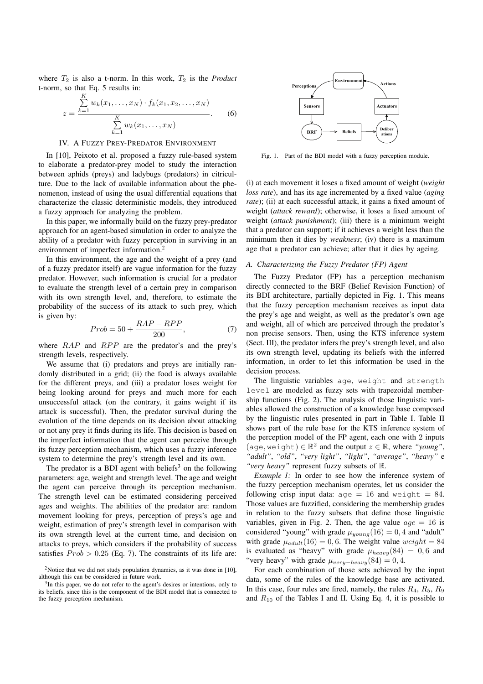where  $T_2$  is also a t-norm. In this work,  $T_2$  is the *Product* t-norm, so that Eq. 5 results in:

$$
z = \frac{\sum_{k=1}^{K} w_k(x_1, \dots, x_N) \cdot f_k(x_1, x_2, \dots, x_N)}{\sum_{k=1}^{K} w_k(x_1, \dots, x_N)}.
$$
 (6)

#### IV. A FUZZY PREY-PREDATOR ENVIRONMENT

In [10], Peixoto et al. proposed a fuzzy rule-based system to elaborate a predator-prey model to study the interaction between aphids (preys) and ladybugs (predators) in citriculture. Due to the lack of available information about the phenomenon, instead of using the usual differential equations that characterize the classic deterministic models, they introduced a fuzzy approach for analyzing the problem.

In this paper, we informally build on the fuzzy prey-predator approach for an agent-based simulation in order to analyze the ability of a predator with fuzzy perception in surviving in an environment of imperfect information.<sup>2</sup>

In this environment, the age and the weight of a prey (and of a fuzzy predator itself) are vague information for the fuzzy predator. However, such information is crucial for a predator to evaluate the strength level of a certain prey in comparison with its own strength level, and, therefore, to estimate the probability of the success of its attack to such prey, which is given by:

$$
Prob = 50 + \frac{RAP - RPP}{200},\tag{7}
$$

where  $RAP$  and  $RPP$  are the predator's and the prey's strength levels, respectively.

We assume that (i) predators and preys are initially randomly distributed in a grid; (ii) the food is always available for the different preys, and (iii) a predator loses weight for being looking around for preys and much more for each unsuccessful attack (on the contrary, it gains weight if its attack is successful). Then, the predator survival during the evolution of the time depends on its decision about attacking or not any prey it finds during its life. This decision is based on the imperfect information that the agent can perceive through its fuzzy perception mechanism, which uses a fuzzy inference system to determine the prey's strength level and its own.

The predator is a BDI agent with beliefs<sup>3</sup> on the following parameters: age, weight and strength level. The age and weight the agent can perceive through its perception mechanism. The strength level can be estimated considering perceived ages and weights. The abilities of the predator are: random movement looking for preys, perception of preys's age and weight, estimation of prey's strength level in comparison with its own strength level at the current time, and decision on attacks to preys, which considers if the probability of success satisfies  $Prob > 0.25$  (Eq. 7). The constraints of its life are:



Fig. 1. Part of the BDI model with a fuzzy perception module.

(i) at each movement it loses a fixed amount of weight (*weight loss rate*), and has its age incremented by a fixed value (*aging* rate); (ii) at each successful attack, it gains a fixed amount of weight (*attack reward*); otherwise, it loses a fixed amount of weight (*attack punishment*); (iii) there is a minimum weight that a predator can support; if it achieves a weight less than the minimum then it dies by *weakness*; (iv) there is a maximum age that a predator can achieve; after that it dies by ageing.

## *A. Characterizing the Fuzzy Predator (FP) Agent*

The Fuzzy Predator (FP) has a perception mechanism directly connected to the BRF (Belief Revision Function) of its BDI architecture, partially depicted in Fig. 1. This means that the fuzzy perception mechanism receives as input data the prey's age and weight, as well as the predator's own age and weight, all of which are perceived through the predator's non precise sensors. Then, using the KTS inference system (Sect. III), the predator infers the prey's strength level, and also its own strength level, updating its beliefs with the inferred information, in order to let this information be used in the decision process.

The linguistic variables age, weight and strength level are modeled as fuzzy sets with trapezoidal membership functions (Fig. 2). The analysis of those linguistic variables allowed the construction of a knowledge base composed by the linguistic rules presented in part in Table I. Table II shows part of the rule base for the KTS inference system of the perception model of the FP agent, each one with 2 inputs  $(\text{age}, \text{weight}) \in \mathbb{R}^2$  and the output  $z \in \mathbb{R}$ , where "young", *"adult"*, *"old"*, *"very light"*, *"light"*, *"average"*, *"heavy"* e *"very heavy"* represent fuzzy subsets of R.

*Example 1:* In order to see how the inference system of the fuzzy perception mechanism operates, let us consider the following crisp input data:  $aqe = 16$  and weight = 84. Those values are fuzzified, considering the membership grades in relation to the fuzzy subsets that define those linguistic variables, given in Fig. 2. Then, the age value  $age = 16$  is considered "young" with grade  $\mu_{young}(16) = 0, 4$  and "adult" with grade  $\mu_{adult}(16) = 0, 6$ . The weight value  $weight = 84$ is evaluated as "heavy" with grade  $\mu_{heavy}(84) = 0, 6$  and "very heavy" with grade  $\mu_{very-heavy}(84) = 0, 4$ .

For each combination of those sets achieved by the input data, some of the rules of the knowledge base are activated. In this case, four rules are fired, namely, the rules  $R_4$ ,  $R_5$ ,  $R_9$ and  $R_{10}$  of the Tables I and II. Using Eq. 4, it is possible to

<sup>&</sup>lt;sup>2</sup>Notice that we did not study population dynamics, as it was done in [10], although this can be considered in future work.

 $3$ In this paper, we do not refer to the agent's desires or intentions, only to its beliefs, since this is the component of the BDI model that is connected to the fuzzy perception mechanism.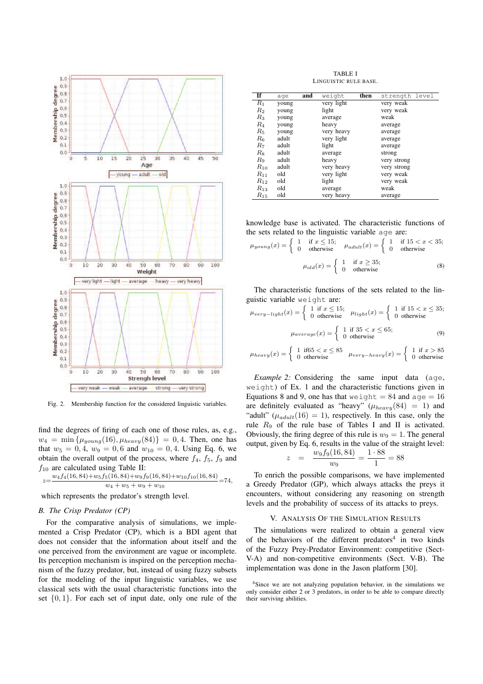

Fig. 2. Membership function for the considered linguistic variables.

find the degrees of firing of each one of those rules, as, e.g.,  $w_4 = \min \{ \mu_{young}(16), \mu_{heavy}(84) \} = 0, 4$ . Then, one has that  $w_5 = 0, 4, w_9 = 0, 6$  and  $w_{10} = 0, 4$ . Using Eq. 6, we obtain the overall output of the process, where  $f_4$ ,  $f_5$ ,  $f_9$  and  $f_{10}$  are calculated using Table II:

$$
z=\frac{w_4f_4(16,84)+w_5f_5(16,84)+w_9f_9(16,84)+w_{10}f_{10}(16,84)}{w_4+w_5+w_9+w_{10}}=74,
$$

which represents the predator's strength level.

## *B. The Crisp Predator (CP)*

For the comparative analysis of simulations, we implemented a Crisp Predator (CP), which is a BDI agent that does not consider that the information about itself and the one perceived from the environment are vague or incomplete. Its perception mechanism is inspired on the perception mechanism of the fuzzy predator, but, instead of using fuzzy subsets for the modeling of the input linguistic variables, we use classical sets with the usual characteristic functions into the set  $\{0, 1\}$ . For each set of input date, only one rule of the

TABLE I LINGUISTIC RULE BASE.

| If          | age   | and | weight     | then | strength level |
|-------------|-------|-----|------------|------|----------------|
| $R_1$       | young |     | very light |      | very weak      |
| $R_2$       | young |     | light      |      | very weak      |
| $R_3$       | young |     | average    |      | weak           |
| $R_{4}$     | young |     | heavy      |      | average        |
| $R_{5}$     | young |     | very heavy |      | average        |
| $R_{\rm 6}$ | adult |     | very light |      | average        |
| $R_7$       | adult |     | light      |      | average        |
| $R_{8}$     | adult |     | average    |      | strong         |
| $R_{9}$     | adult |     | heavy      |      | very strong    |
| $R_{10}$    | adult |     | very heavy |      | very strong    |
| $R_{11}$    | old   |     | very light |      | very weak      |
| $R_{12}$    | old   |     | light      |      | very weak      |
| $R_{13}$    | old   |     | average    |      | weak           |
| $R_{15}$    | old   |     | very heavy |      | average        |

knowledge base is activated. The characteristic functions of the sets related to the linguistic variable age are:

$$
\mu_{young}(x) = \begin{cases}\n1 & \text{if } x \le 15; \\
0 & \text{otherwise}\n\end{cases}\n\mu_{adult}(x) = \begin{cases}\n1 & \text{if } 15 < x < 35; \\
0 & \text{otherwise}\n\end{cases}
$$
\n
$$
\mu_{old}(x) = \begin{cases}\n1 & \text{if } x \ge 35; \\
0 & \text{otherwise}\n\end{cases}
$$
\n(8)

The characteristic functions of the sets related to the linguistic variable weight are:

$$
\mu_{very-light}(x) = \begin{cases} 1 & \text{if } x \le 15; \\ 0 & \text{otherwise} \end{cases} \quad \mu_{light}(x) = \begin{cases} 1 & \text{if } 15 < x \le 35; \\ 0 & \text{otherwise} \end{cases}
$$
\n
$$
\mu_{average}(x) = \begin{cases} 1 & \text{if } 35 < x \le 65; \\ 0 & \text{otherwise} \end{cases}
$$
\n(9)

$$
\mu_{heavy}(x) = \begin{cases} 1 & \text{if} 65 < x \le 85 \\ 0 & \text{otherwise} \end{cases} \quad \mu_{very-heavy}(x) = \begin{cases} 1 & \text{if } x > 85 \\ 0 & \text{otherwise} \end{cases}
$$

*Example 2:* Considering the same input data (age, weight) of Ex. 1 and the characteristic functions given in Equations 8 and 9, one has that we ight  $= 84$  and  $a \neq 16$ are definitely evaluated as "heavy" ( $\mu_{heavy}(84) = 1$ ) and "adult" ( $\mu_{adult}(16) = 1$ ), respectively. In this case, only the rule  $R_9$  of the rule base of Tables I and II is activated. Obviously, the firing degree of this rule is  $w_9 = 1$ . The general output, given by Eq. 6, results in the value of the straight level:

$$
z = \frac{w_9 f_9(16, 84)}{w_9} = \frac{1 \cdot 88}{1} = 88
$$

To enrich the possible comparisons, we have implemented a Greedy Predator (GP), which always attacks the preys it encounters, without considering any reasoning on strength levels and the probability of success of its attacks to preys.

#### V. ANALYSIS OF THE SIMULATION RESULTS

The simulations were realized to obtain a general view of the behaviors of the different predators<sup>4</sup> in two kinds of the Fuzzy Prey-Predator Environment: competitive (Sect-V-A) and non-competitive environments (Sect. V-B). The implementation was done in the Jason platform [30].

<sup>&</sup>lt;sup>4</sup>Since we are not analyzing population behavior, in the simulations we only consider either 2 or 3 predators, in order to be able to compare directly their surviving abilities.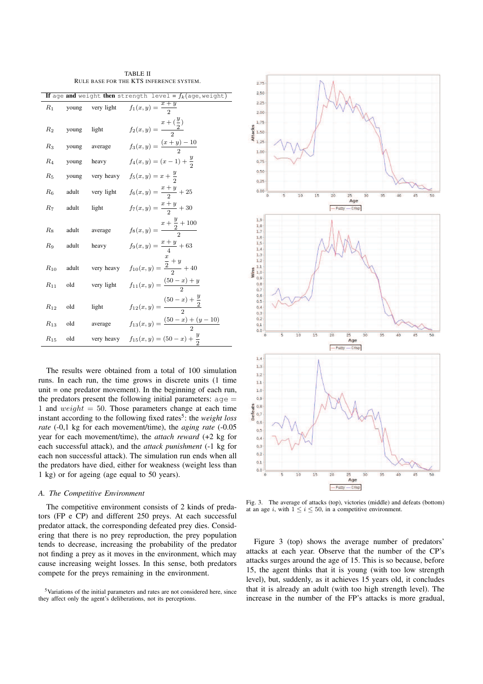TABLE II RULE BASE FOR THE KTS INFERENCE SYSTEM.

| If age and weight then strength level = $f_k$ (age, weight) |                |                          |                                                                                           |  |  |  |
|-------------------------------------------------------------|----------------|--------------------------|-------------------------------------------------------------------------------------------|--|--|--|
| $R_1$                                                       | young          | very light               | $f_1(x,y) = \frac{x+y}{2}$                                                                |  |  |  |
| $R_{2}$                                                     | young          | light                    | $f_2(x, y) = \frac{x + (\frac{y}{2})}{2}$                                                 |  |  |  |
| $R_3$                                                       | young          | average                  | $f_3(x,y) = \frac{(x+y)-10}{2}$                                                           |  |  |  |
| $R_4$                                                       | young          | heavy                    | $f_4(x,y) = (x-1) + \frac{y}{2}$                                                          |  |  |  |
| $R_5$                                                       |                | young very heavy         | $f_5(x, y) = x + \frac{y}{2}$                                                             |  |  |  |
| $R_6$                                                       |                | adult very light         | $f_6(x,y) = \frac{x+y}{2} + 25$                                                           |  |  |  |
| $R_7$                                                       | adult          | light                    | $f_7(x,y) = \frac{x+y}{2} + 30$                                                           |  |  |  |
| $R_8$<br>R9                                                 | adult<br>adult | average<br>heavy         | $f_8(x, y) = \frac{x + \frac{y}{2} + 100}{2}$<br>$f_9(x, y) = \frac{x + y}{4} + 63$       |  |  |  |
| $R_{10}$<br>$R_{11}$                                        | adult<br>old   | very heavy<br>very light | $f_{10}(x,y) = \frac{\frac{x}{2} + y}{2} + 40$<br>$f_{11}(x, y) = \frac{(50 - x) + y}{2}$ |  |  |  |
| $R_{12}$                                                    | old            | light                    | $f_{12}(x,y) = \frac{(50-x)+\frac{y}{2}}{2}$                                              |  |  |  |
| $R_{13}$                                                    | old            | average                  | $f_{13}(x,y) = \frac{(50-x) + (y-10)}{2}$                                                 |  |  |  |
| $R_{15}$                                                    | old            | very heavy               | $f_{15}(x,y) = (50 - x) + \frac{y}{2}$                                                    |  |  |  |

The results were obtained from a total of 100 simulation runs. In each run, the time grows in discrete units (1 time unit  $=$  one predator movement). In the beginning of each run, the predators present the following initial parameters:  $age =$ 1 and  $weight = 50$ . Those parameters change at each time instant according to the following fixed rates<sup>5</sup>: the *weight loss rate* (-0,1 kg for each movement/time), the *aging rate* (-0.05 year for each movement/time), the *attach reward* (+2 kg for each successful attack), and the *attack punishment* (-1 kg for each non successful attack). The simulation run ends when all the predators have died, either for weakness (weight less than 1 kg) or for ageing (age equal to 50 years).

## *A. The Competitive Environment*

The competitive environment consists of 2 kinds of predators (FP e CP) and different 250 preys. At each successful predator attack, the corresponding defeated prey dies. Considering that there is no prey reproduction, the prey population tends to decrease, increasing the probability of the predator not finding a prey as it moves in the environment, which may cause increasing weight losses. In this sense, both predators compete for the preys remaining in the environment.



Fig. 3. The average of attacks (top), victories (middle) and defeats (bottom) at an age i, with  $1 \le i \le 50$ , in a competitive environment.

Figure 3 (top) shows the average number of predators' attacks at each year. Observe that the number of the CP's attacks surges around the age of 15. This is so because, before 15, the agent thinks that it is young (with too low strength level), but, suddenly, as it achieves 15 years old, it concludes that it is already an adult (with too high strength level). The increase in the number of the FP's attacks is more gradual,

<sup>5</sup>Variations of the initial parameters and rates are not considered here, since they affect only the agent's deliberations, not its perceptions.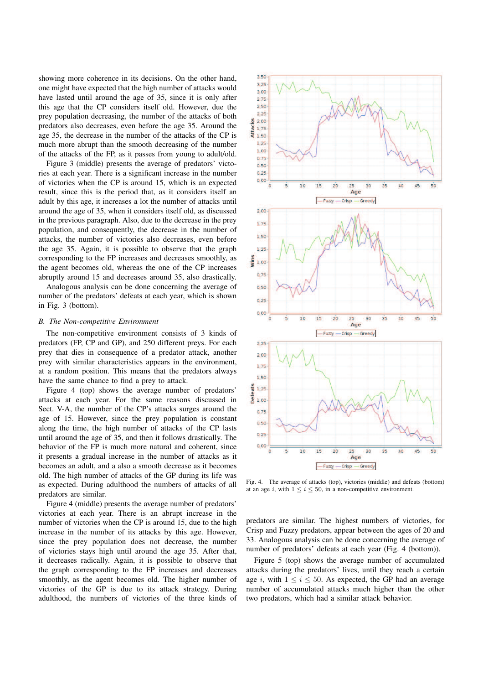showing more coherence in its decisions. On the other hand, one might have expected that the high number of attacks would have lasted until around the age of 35, since it is only after this age that the CP considers itself old. However, due the prey population decreasing, the number of the attacks of both predators also decreases, even before the age 35. Around the age 35, the decrease in the number of the attacks of the CP is much more abrupt than the smooth decreasing of the number of the attacks of the FP, as it passes from young to adult/old.

Figure 3 (middle) presents the average of predators' victories at each year. There is a significant increase in the number of victories when the CP is around 15, which is an expected result, since this is the period that, as it considers itself an adult by this age, it increases a lot the number of attacks until around the age of 35, when it considers itself old, as discussed in the previous paragraph. Also, due to the decrease in the prey population, and consequently, the decrease in the number of attacks, the number of victories also decreases, even before the age 35. Again, it is possible to observe that the graph corresponding to the FP increases and decreases smoothly, as the agent becomes old, whereas the one of the CP increases abruptly around 15 and decreases around 35, also drastically.

Analogous analysis can be done concerning the average of number of the predators' defeats at each year, which is shown in Fig. 3 (bottom).

## *B. The Non-competitive Environment*

The non-competitive environment consists of 3 kinds of predators (FP, CP and GP), and 250 different preys. For each prey that dies in consequence of a predator attack, another prey with similar characteristics appears in the environment, at a random position. This means that the predators always have the same chance to find a prey to attack.

Figure 4 (top) shows the average number of predators' attacks at each year. For the same reasons discussed in Sect. V-A, the number of the CP's attacks surges around the age of 15. However, since the prey population is constant along the time, the high number of attacks of the CP lasts until around the age of 35, and then it follows drastically. The behavior of the FP is much more natural and coherent, since it presents a gradual increase in the number of attacks as it becomes an adult, and a also a smooth decrease as it becomes old. The high number of attacks of the GP during its life was as expected. During adulthood the numbers of attacks of all predators are similar.

Figure 4 (middle) presents the average number of predators' victories at each year. There is an abrupt increase in the number of victories when the CP is around 15, due to the high increase in the number of its attacks by this age. However, since the prey population does not decrease, the number of victories stays high until around the age 35. After that, it decreases radically. Again, it is possible to observe that the graph corresponding to the FP increases and decreases smoothly, as the agent becomes old. The higher number of victories of the GP is due to its attack strategy. During adulthood, the numbers of victories of the three kinds of



Fig. 4. The average of attacks (top), victories (middle) and defeats (bottom) at an age i, with  $1 \le i \le 50$ , in a non-competitive environment.

predators are similar. The highest numbers of victories, for Crisp and Fuzzy predators, appear between the ages of 20 and 33. Analogous analysis can be done concerning the average of number of predators' defeats at each year (Fig. 4 (bottom)).

Figure 5 (top) shows the average number of accumulated attacks during the predators' lives, until they reach a certain age i, with  $1 \le i \le 50$ . As expected, the GP had an average number of accumulated attacks much higher than the other two predators, which had a similar attack behavior.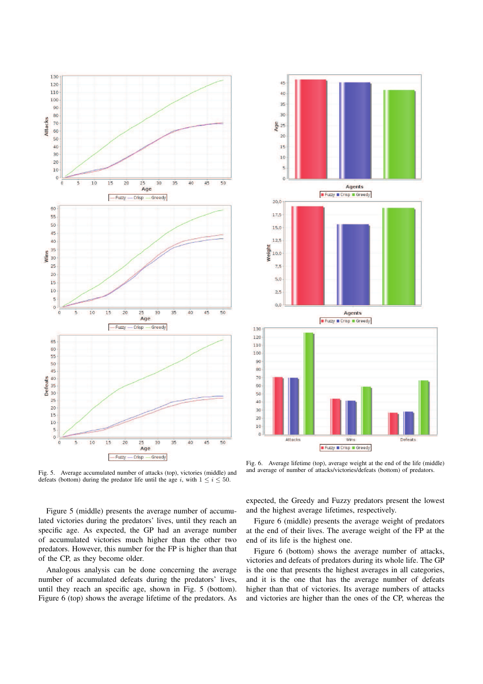

Fig. 5. Average accumulated number of attacks (top), victories (middle) and defeats (bottom) during the predator life until the age i, with  $1 \le i \le 50$ . Fig. 6. Average lifetime (top), average weight at the end of the life (middle) and average of number of attacks/victories/defeats (bottom) of predators.

Figure 5 (middle) presents the average number of accumulated victories during the predators' lives, until they reach an specific age. As expected, the GP had an average number of accumulated victories much higher than the other two predators. However, this number for the FP is higher than that of the CP, as they become older.

Analogous analysis can be done concerning the average number of accumulated defeats during the predators' lives, until they reach an specific age, shown in Fig. 5 (bottom). Figure 6 (top) shows the average lifetime of the predators. As

expected, the Greedy and Fuzzy predators present the lowest

and the highest average lifetimes, respectively. Figure 6 (middle) presents the average weight of predators

at the end of their lives. The average weight of the FP at the end of its life is the highest one.

Figure 6 (bottom) shows the average number of attacks, victories and defeats of predators during its whole life. The GP is the one that presents the highest averages in all categories, and it is the one that has the average number of defeats higher than that of victories. Its average numbers of attacks and victories are higher than the ones of the CP, whereas the